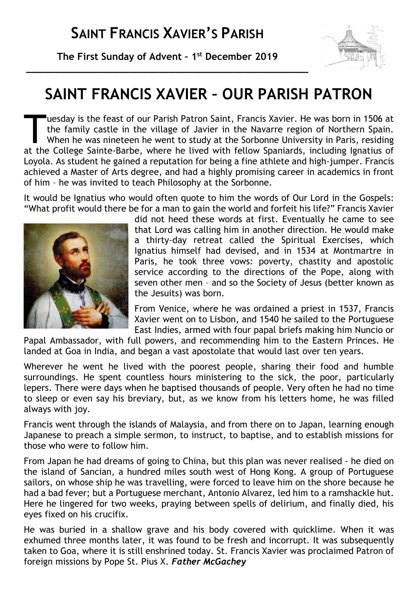**The First Sunday of Advent – 1 st December 2019 \_\_\_\_\_\_\_\_\_\_\_\_\_\_\_\_\_\_\_\_\_\_\_\_\_\_\_\_\_\_\_\_\_\_\_\_\_\_\_\_\_\_\_\_\_\_\_\_\_**



# **SAINT FRANCIS XAVIER – OUR PARISH PATRON**

uesday is the feast of our Parish Patron Saint, Francis Xavier. He was born in 1506 at the family castle in the village of Javier in the Navarre region of Northern Spain. When he was nineteen he went to study at the Sorbonne University in Paris, residing The College Sainte-Barbe, where he lived with fellow Spaniards, including Ignatius of the College Sainte-Barbe, where he lived with fellow Spaniards, including Ignatius of the College Sainte-Barbe, where he lived with fell Loyola. As student he gained a reputation for being a fine athlete and high-jumper. Francis achieved a Master of Arts degree, and had a highly promising career in academics in front of him – he was invited to teach Philosophy at the Sorbonne.

It would be Ignatius who would often quote to him the words of Our Lord in the Gospels: "What profit would there be for a man to gain the world and forfeit his life?" Francis Xavier



did not heed these words at first. Eventually he came to see that Lord was calling him in another direction. He would make a thirty-day retreat called the Spiritual Exercises, which Ignatius himself had devised, and in 1534 at Montmartre in Paris, he took three vows: poverty, chastity and apostolic service according to the directions of the Pope, along with seven other men – and so the Society of Jesus (better known as the Jesuits) was born.

From Venice, where he was ordained a priest in 1537, Francis Xavier went on to Lisbon, and 1540 he sailed to the Portuguese East Indies, armed with four papal briefs making him Nuncio or

Papal Ambassador, with full powers, and recommending him to the Eastern Princes. He landed at Goa in India, and began a vast apostolate that would last over ten years.

Wherever he went he lived with the poorest people, sharing their food and humble surroundings. He spent countless hours ministering to the sick, the poor, particularly lepers. There were days when he baptised thousands of people. Very often he had no time to sleep or even say his breviary, but, as we know from his letters home, he was filled always with joy.

Francis went through the islands of Malaysia, and from there on to Japan, learning enough Japanese to preach a simple sermon, to instruct, to baptise, and to establish missions for those who were to follow him.

From Japan he had dreams of going to China, but this plan was never realised - he died on the island of Sancian, a hundred miles south west of Hong Kong. A group of Portuguese sailors, on whose ship he was travelling, were forced to leave him on the shore because he had a bad fever; but a Portuguese merchant, Antonio Alvarez, led him to a ramshackle hut. Here he lingered for two weeks, praying between spells of delirium, and finally died, his eyes fixed on his crucifix.

He was buried in a shallow grave and his body covered with quicklime. When it was exhumed three months later, it was found to be fresh and incorrupt. It was subsequently taken to Goa, where it is still enshrined today. St. Francis Xavier was proclaimed Patron of foreign missions by Pope St. Pius X. *Father McGachey*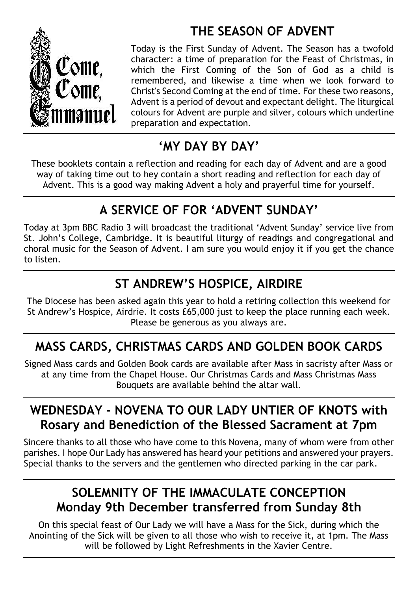# Come, Come.

## **THE SEASON OF ADVENT**

Today is the First Sunday of Advent. The Season has a twofold character: a time of preparation for the Feast of Christmas, in which the First Coming of the Son of God as a child is remembered, and likewise a time when we look forward to Christ's Second Coming at the end of time. For these two reasons, Advent is a period of devout and expectant delight. The liturgical colours for Advent are purple and silver, colours which underline preparation and expectation.

## **'MY DAY BY DAY'**

These booklets contain a reflection and reading for each day of Advent and are a good way of taking time out to hey contain a short reading and reflection for each day of Advent. This is a good way making Advent a holy and prayerful time for yourself.

# **A SERVICE OF FOR 'ADVENT SUNDAY'**

Today at 3pm BBC Radio 3 will broadcast the traditional 'Advent Sunday' service live from St. John's College, Cambridge. It is beautiful liturgy of readings and congregational and choral music for the Season of Advent. I am sure you would enjoy it if you get the chance to listen.

## **ST ANDREW'S HOSPICE, AIRDIRE**

The Diocese has been asked again this year to hold a retiring collection this weekend for St Andrew's Hospice, Airdrie. It costs £65,000 just to keep the place running each week. Please be generous as you always are.

# **MASS CARDS, CHRISTMAS CARDS AND GOLDEN BOOK CARDS**

Signed Mass cards and Golden Book cards are available after Mass in sacristy after Mass or at any time from the Chapel House. Our Christmas Cards and Mass Christmas Mass Bouquets are available behind the altar wall.

### **WEDNESDAY - NOVENA TO OUR LADY UNTIER OF KNOTS with Rosary and Benediction of the Blessed Sacrament at 7pm**

Sincere thanks to all those who have come to this Novena, many of whom were from other parishes. I hope Our Lady has answered has heard your petitions and answered your prayers. Special thanks to the servers and the gentlemen who directed parking in the car park.

### **SOLEMNITY OF THE IMMACULATE CONCEPTION Monday 9th December transferred from Sunday 8th**

On this special feast of Our Lady we will have a Mass for the Sick, during which the Anointing of the Sick will be given to all those who wish to receive it, at 1pm. The Mass will be followed by Light Refreshments in the Xavier Centre.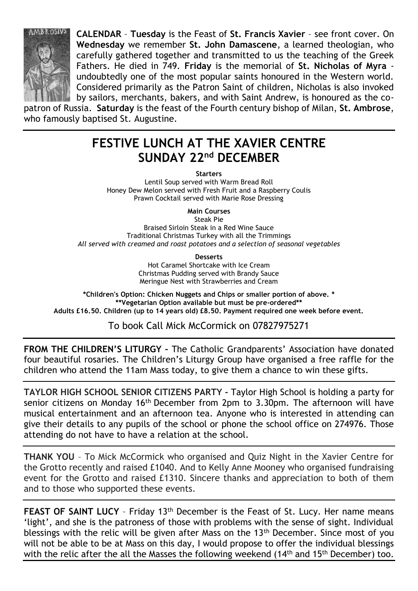

**CALENDAR** – **Tuesday** is the Feast of **St. Francis Xavier** – see front cover. On **Wednesday** we remember **St. John Damascene**, a learned theologian, who carefully gathered together and transmitted to us the teaching of the Greek Fathers. He died in 749. **Friday** is the memorial of **St. Nicholas of Myra** undoubtedly one of the most popular saints honoured in the Western world. Considered primarily as the Patron Saint of children, Nicholas is also invoked by sailors, merchants, bakers, and with Saint Andrew, is honoured as the co-

patron of Russia. **Saturday** is the feast of the Fourth century bishop of Milan, **St. Ambrose**, who famously baptised St. Augustine.

#### **FESTIVE LUNCH AT THE XAVIER CENTRE SUNDAY 22nd DECEMBER**

**Starters**

Lentil Soup served with Warm Bread Roll Honey Dew Melon served with Fresh Fruit and a Raspberry Coulis Prawn Cocktail served with Marie Rose Dressing

**Main Courses**

Steak Pie Braised Sirloin Steak in a Red Wine Sauce Traditional Christmas Turkey with all the Trimmings *All served with creamed and roast potatoes and a selection of seasonal vegetables*

**Desserts**

Hot Caramel Shortcake with Ice Cream Christmas Pudding served with Brandy Sauce Meringue Nest with Strawberries and Cream

**\*Children's Option: Chicken Nuggets and Chips or smaller portion of above. \* \*\*Vegetarian Option available but must be pre-ordered\*\* Adults £16.50. Children (up to 14 years old) £8.50. Payment required one week before event.**

To book Call Mick McCormick on 07827975271

**FROM THE CHILDREN'S LITURGY –** The Catholic Grandparents' Association have donated four beautiful rosaries. The Children's Liturgy Group have organised a free raffle for the children who attend the 11am Mass today, to give them a chance to win these gifts.

**TAYLOR HIGH SCHOOL SENIOR CITIZENS PARTY -** Taylor High School is holding a party for senior citizens on Monday 16<sup>th</sup> December from 2pm to 3.30pm. The afternoon will have musical entertainment and an afternoon tea. Anyone who is interested in attending can give their details to any pupils of the school or phone the school office on 274976. Those attending do not have to have a relation at the school.

**THANK YOU** – To Mick McCormick who organised and Quiz Night in the Xavier Centre for the Grotto recently and raised £1040. And to Kelly Anne Mooney who organised fundraising event for the Grotto and raised £1310. Sincere thanks and appreciation to both of them and to those who supported these events.

**FEAST OF SAINT LUCY** - Friday 13<sup>th</sup> December is the Feast of St. Lucy. Her name means 'light', and she is the patroness of those with problems with the sense of sight. Individual blessings with the relic will be given after Mass on the 13th December. Since most of you will not be able to be at Mass on this day, I would propose to offer the individual blessings with the relic after the all the Masses the following weekend (14<sup>th</sup> and 15<sup>th</sup> December) too.